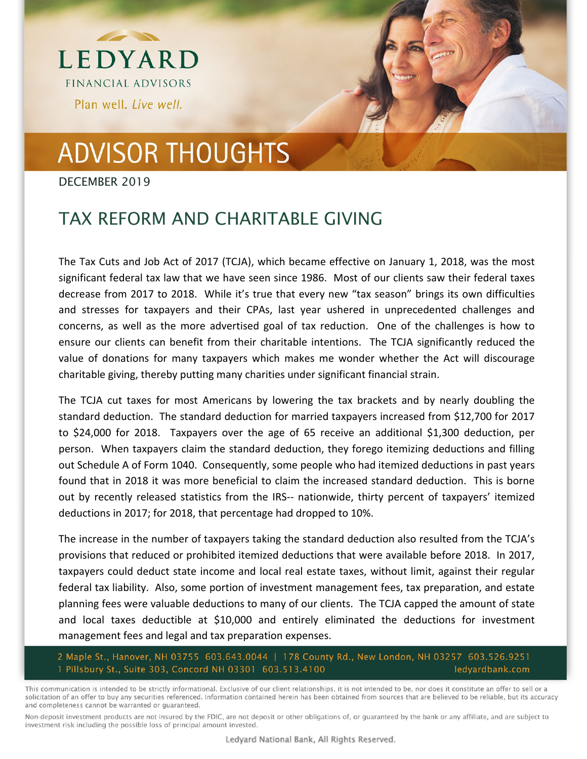

## **ADVISOR THOUGHTS**

DECEMBER 2019

## TAX REFORM AND CHARITABLE GIVING

The Tax Cuts and Job Act of 2017 (TCJA), which became effective on January 1, 2018, was the most significant federal tax law that we have seen since 1986. Most of our clients saw their federal taxes decrease from 2017 to 2018. While it's true that every new "tax season" brings its own difficulties and stresses for taxpayers and their CPAs, last year ushered in unprecedented challenges and concerns, as well as the more advertised goal of tax reduction. One of the challenges is how to ensure our clients can benefit from their charitable intentions. The TCJA significantly reduced the value of donations for many taxpayers which makes me wonder whether the Act will discourage charitable giving, thereby putting many charities under significant financial strain.

The TCJA cut taxes for most Americans by lowering the tax brackets and by nearly doubling the standard deduction. The standard deduction for married taxpayers increased from \$12,700 for 2017 to \$24,000 for 2018. Taxpayers over the age of 65 receive an additional \$1,300 deduction, per person. When taxpayers claim the standard deduction, they forego itemizing deductions and filling out Schedule A of Form 1040. Consequently, some people who had itemized deductions in past years found that in 2018 it was more beneficial to claim the increased standard deduction. This is borne out by recently released statistics from the IRS-- nationwide, thirty percent of taxpayers' itemized deductions in 2017; for 2018, that percentage had dropped to 10%.

The increase in the number of taxpayers taking the standard deduction also resulted from the TCJA's provisions that reduced or prohibited itemized deductions that were available before 2018. In 2017, taxpayers could deduct state income and local real estate taxes, without limit, against their regular federal tax liability. Also, some portion of investment management fees, tax preparation, and estate planning fees were valuable deductions to many of our clients. The TCJA capped the amount of state and local taxes deductible at \$10,000 and entirely eliminated the deductions for investment management fees and legal and tax preparation expenses.

2 Maple St., Hanover, NH 03755 603.643.0044 | 178 County Rd., New London, NH 03257 603.526.9251<br>1 Pillsbury St., Suite 303, Concord NH 03301 603.513.4100 ledyardbank.com

This communication is intended to be strictly informational. Exclusive of our client relationships, it is not intended to be, nor does it constitute an offer to sell or a solicitation of an offer to buy any securities referenced. Information contained herein has been obtained from sources that are believed to be reliable, but its accuracy and completeness cannot be warranted or guaranteed.

Non-deposit investment products are not insured by the FDIC, are not deposit or other obligations of, or guaranteed by the bank or any affiliate, and are subject to investment risk including the possible loss of principal amount invested.

Ledyard National Bank, All Rights Reserved.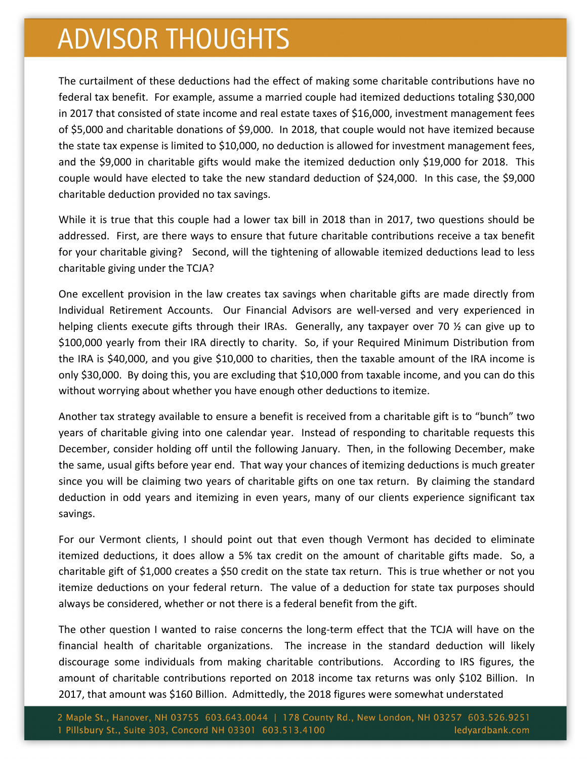## **ADVISOR THOUGHTS**

The curtailment of these deductions had the effect of making some charitable contributions have no federal tax benefit. For example, assume a married couple had itemized deductions totaling \$30,000 in 2017 that consisted of state income and real estate taxes of \$16,000, investment management fees of \$5,000 and charitable donations of \$9,000. In 2018, that couple would not have itemized because the state tax expense is limited to \$10,000, no deduction is allowed for investment management fees, and the \$9,000 in charitable gifts would make the itemized deduction only \$19,000 for 2018. This couple would have elected to take the new standard deduction of \$24,000. In this case, the \$9,000 charitable deduction provided no tax savings.

While it is true that this couple had a lower tax bill in 2018 than in 2017, two questions should be addressed. First, are there ways to ensure that future charitable contributions receive a tax benefit for your charitable giving? Second, will the tightening of allowable itemized deductions lead to less charitable giving under the TCJA?

One excellent provision in the law creates tax savings when charitable gifts are made directly from Individual Retirement Accounts. Our Financial Advisors are well-versed and very experienced in helping clients execute gifts through their IRAs. Generally, any taxpayer over 70 % can give up to \$100,000 yearly from their IRA directly to charity. So, if your Required Minimum Distribution from the IRA is \$40,000, and you give \$10,000 to charities, then the taxable amount of the IRA income is only \$30,000. By doing this, you are excluding that \$10,000 from taxable income, and you can do this without worrying about whether you have enough other deductions to itemize.

Another tax strategy available to ensure a benefit is received from a charitable gift is to "bunch" two years of charitable giving into one calendar year. Instead of responding to charitable requests this December, consider holding off until the following January. Then, in the following December, make the same, usual gifts before year end. That way your chances of itemizing deductions is much greater since you will be claiming two years of charitable gifts on one tax return. By claiming the standard deduction in odd years and itemizing in even years, many of our clients experience significant tax savings.

For our Vermont clients, I should point out that even though Vermont has decided to eliminate itemized deductions, it does allow a 5% tax credit on the amount of charitable gifts made. So, a charitable gift of \$1,000 creates a \$50 credit on the state tax return. This is true whether or not you itemize deductions on your federal return. The value of a deduction for state tax purposes should always be considered, whether or not there is a federal benefit from the gift.

The other question I wanted to raise concerns the long‐term effect that the TCJA will have on the financial health of charitable organizations. The increase in the standard deduction will likely discourage some individuals from making charitable contributions. According to IRS figures, the amount of charitable contributions reported on 2018 income tax returns was only \$102 Billion. In 2017, that amount was \$160 Billion. Admittedly, the 2018 figures were somewhat understated